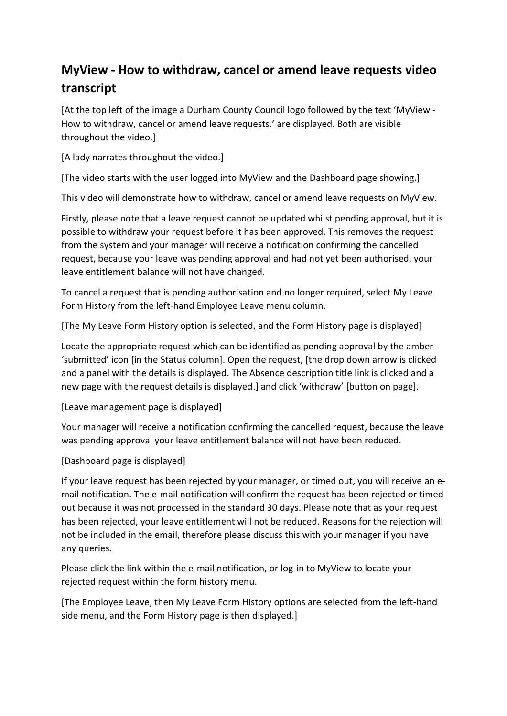## **MyView - How to withdraw, cancel or amend leave requests video transcript**

[At the top left of the image a Durham County Council logo followed by the text 'MyView - How to withdraw, cancel or amend leave requests.' are displayed. Both are visible throughout the video.]

[A lady narrates throughout the video.]

[The video starts with the user logged into MyView and the Dashboard page showing.]

This video will demonstrate how to withdraw, cancel or amend leave requests on MyView.

Firstly, please note that a leave request cannot be updated whilst pending approval, but it is possible to withdraw your request before it has been approved. This removes the request from the system and your manager will receive a notification confirming the cancelled request, because your leave was pending approval and had not yet been authorised, your leave entitlement balance will not have changed.

To cancel a request that is pending authorisation and no longer required, select My Leave Form History from the left-hand Employee Leave menu column.

[The My Leave Form History option is selected, and the Form History page is displayed]

Locate the appropriate request which can be identified as pending approval by the amber 'submitted' icon [in the Status column]. Open the request, [the drop down arrow is clicked and a panel with the details is displayed. The Absence description title link is clicked and a new page with the request details is displayed.] and click 'withdraw' [button on page].

[Leave management page is displayed]

Your manager will receive a notification confirming the cancelled request, because the leave was pending approval your leave entitlement balance will not have been reduced.

## [Dashboard page is displayed]

If your leave request has been rejected by your manager, or timed out, you will receive an email notification. The e-mail notification will confirm the request has been rejected or timed out because it was not processed in the standard 30 days. Please note that as your request has been rejected, your leave entitlement will not be reduced. Reasons for the rejection will not be included in the email, therefore please discuss this with your manager if you have any queries.

Please click the link within the e-mail notification, or log-in to MyView to locate your rejected request within the form history menu.

[The Employee Leave, then My Leave Form History options are selected from the left-hand side menu, and the Form History page is then displayed.]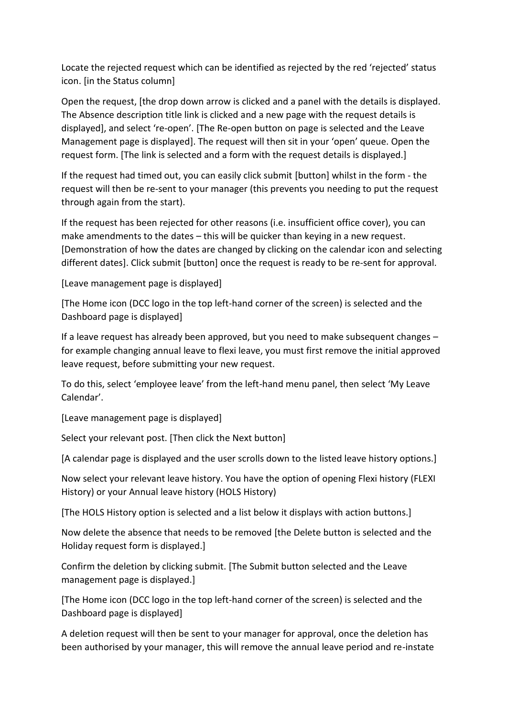Locate the rejected request which can be identified as rejected by the red 'rejected' status icon. [in the Status column]

Open the request, [the drop down arrow is clicked and a panel with the details is displayed. The Absence description title link is clicked and a new page with the request details is displayed], and select 're-open'. [The Re-open button on page is selected and the Leave Management page is displayed]. The request will then sit in your 'open' queue. Open the request form. [The link is selected and a form with the request details is displayed.]

If the request had timed out, you can easily click submit [button] whilst in the form - the request will then be re-sent to your manager (this prevents you needing to put the request through again from the start).

If the request has been rejected for other reasons (i.e. insufficient office cover), you can make amendments to the dates – this will be quicker than keying in a new request. [Demonstration of how the dates are changed by clicking on the calendar icon and selecting different dates]. Click submit [button] once the request is ready to be re-sent for approval.

[Leave management page is displayed]

[The Home icon (DCC logo in the top left-hand corner of the screen) is selected and the Dashboard page is displayed]

If a leave request has already been approved, but you need to make subsequent changes – for example changing annual leave to flexi leave, you must first remove the initial approved leave request, before submitting your new request.

To do this, select 'employee leave' from the left-hand menu panel, then select 'My Leave Calendar'.

[Leave management page is displayed]

Select your relevant post. [Then click the Next button]

[A calendar page is displayed and the user scrolls down to the listed leave history options.]

Now select your relevant leave history. You have the option of opening Flexi history (FLEXI History) or your Annual leave history (HOLS History)

[The HOLS History option is selected and a list below it displays with action buttons.]

Now delete the absence that needs to be removed [the Delete button is selected and the Holiday request form is displayed.]

Confirm the deletion by clicking submit. [The Submit button selected and the Leave management page is displayed.]

[The Home icon (DCC logo in the top left-hand corner of the screen) is selected and the Dashboard page is displayed]

A deletion request will then be sent to your manager for approval, once the deletion has been authorised by your manager, this will remove the annual leave period and re-instate